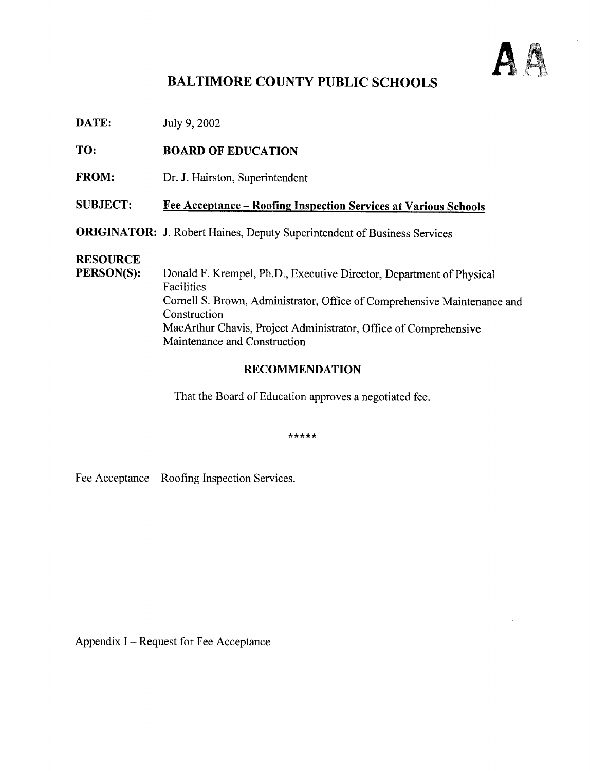

## BALTIMORE COUNTY PUBLIC SCHOOLS

**DATE:** July 9, 2002

TO: BOARD OF EDUCATION

FROM: Dr. J. Hairston, Superintendent

#### SUBJECT: Fee Acceptance - Roofing Inspection Services at Various Schools

ORIGINATOR: J. Robert Haines, Deputy Superintendent of Business Services

# **RESOURCE**<br>PERSON(S):

Donald F. Krempel, Ph.D., Executive Director, Department of Physical Facilities Cornell S. Brown, Administrator, Office of Comprehensive Maintenance and Construction MacArthur Chavis, Project Administrator, Office of Comprehensive Maintenance and Construction

#### RECOMMENDATION

That the Board of Education approves a negotiated fee.

\*\*\*\*\*

Fee Acceptance – Roofing Inspection Services.

Appendix  $I - Request$  for Fee Acceptance